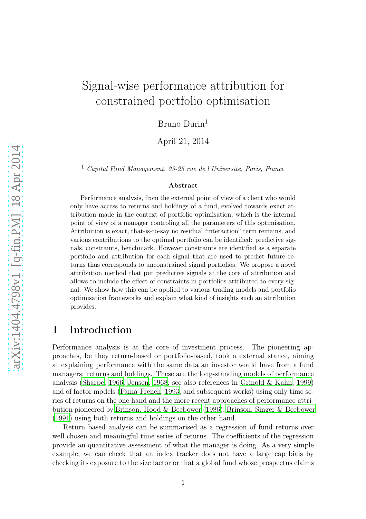# Signal-wise performance attribution for constrained portfolio optimisation

Bruno Durin<sup>1</sup>

April 21, 2014

<sup>1</sup> Capital Fund Management, 23-25 rue de l'Université, Paris, France

#### Abstract

Performance analysis, from the external point of view of a client who would only have access to returns and holdings of a fund, evolved towards exact attribution made in the context of portfolio optimisation, which is the internal point of view of a manager controling all the parameters of this optimisation. Attribution is exact, that-is-to-say no residual "interaction" term remains, and various contributions to the optimal portfolio can be identified: predictive signals, constraints, benchmark. However constraints are identified as a separate portfolio and attribution for each signal that are used to predict future returns thus corresponds to unconstrained signal portfolios. We propose a novel attribution method that put predictive signals at the core of attribution and allows to include the effect of constraints in portfolios attributed to every signal. We show how this can be applied to various trading models and portfolio optimisation frameworks and explain what kind of insights such an attribution provides.

### 1 Introduction

Performance analysis is at the core of investment process. The pioneering approaches, be they return-based or portfolio-based, took a external stance, aiming at explaining performance with the same data an investor would have from a fund managers: returns and holdings. These are the long-standing models of performance analysis [\(Sharpe](#page-21-0), [1966](#page-21-0); [Jensen](#page-21-1), [1968;](#page-21-1) see also references in [Grinold & Kahn, 1999\)](#page-21-2) and of factor models [\(Fama-French, 1993](#page-21-3), and subsequent works) using only time series of returns on the one hand and the more recent approaches of performance attribution pioneered by [Brinson, Hood & Beebower \(1986\)](#page-21-4); [Brinson, Singer & Beebower](#page-21-5) [\(1991](#page-21-5)) using both returns and holdings on the other hand.

Return based analysis can be summarised as a regression of fund returns over well chosen and meaningful time series of returns. The coefficients of the regression provide an quantitative assessment of what the manager is doing. As a very simple example, we can check that an index tracker does not have a large cap biais by checking its exposure to the size factor or that a global fund whose prospectus claims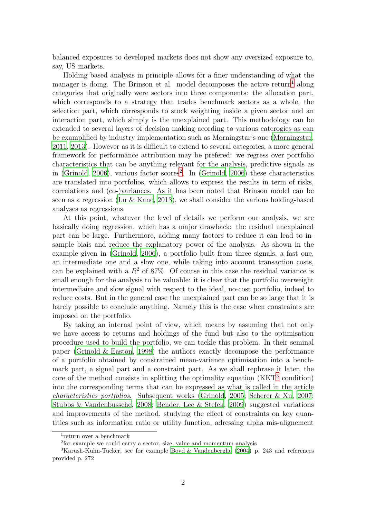balanced exposures to developed markets does not show any oversized exposure to, say, US markets.

Holding based analysis in principle allows for a finer understanding of what the manager is doing. The Brinson et al. model decomposes the active return<sup>[1](#page-1-0)</sup> along categories that originally were sectors into three components: the allocation part, which corresponds to a strategy that trades benchmark sectors as a whole, the selection part, which corresponds to stock weighting inside a given sector and an interaction part, which simply is the unexplained part. This methodology can be extended to several layers of decision making acording to various caterogies as can be examplified by industry implementation such as Morningstar's one [\(Morningstar,](#page-21-6) [2011,](#page-21-6) [2013\)](#page-21-7). However as it is difficult to extend to several categories, a more general framework for performance attribution may be prefered: we regress over portfolio characteristics that can be anything relevant for the analysis, predictive signals as in [\(Grinold](#page-21-8), [2006](#page-21-8)), various factor scores<sup>[2](#page-1-1)</sup>. In (Grinold, [2006\)](#page-21-8) these characteristics are translated into portfolios, which allows to express the results in term of risks, correlations and (co-)variances. As it has been noted that Brinson model can be seen as a regression [\(Lu & Kane](#page-21-9), [2013\)](#page-21-9), we shall consider the various holding-based analyses as regressions.

At this point, whatever the level of details we perform our analysis, we are basically doing regression, which has a major drawback: the residual unexplained part can be large. Furthermore, adding many factors to reduce it can lead to insample biais and reduce the explanatory power of the analysis. As shown in the example given in [\(Grinold, 2006\)](#page-21-8), a portfolio built from three signals, a fast one, an intermediate one and a slow one, while taking into account transaction costs, can be explained with a  $R^2$  of 87%. Of course in this case the residual variance is small enough for the analysis to be valuable: it is clear that the portfolio overweight intermediaire and slow signal with respect to the ideal, no-cost portfolio, indeed to reduce costs. But in the general case the unexplained part can be so large that it is barely possible to conclude anything. Namely this is the case when constraints are imposed on the portfolio.

By taking an internal point of view, which means by assuming that not only we have access to returns and holdings of the fund but also to the optimisation procedure used to build the portfolio, we can tackle this problem. In their seminal paper [\(Grinold & Easton](#page-21-10), [1998\)](#page-21-10) the authors exactly decompose the performance of a portfolio obtained by constrained mean-variance optimisation into a benchmark part, a signal part and a constraint part. As we shall rephrase it later, the core of the method consists in splitting the optimality equation (KKT<sup>[3](#page-1-2)</sup> condition) into the corresponding terms that can be expressed as what is called in the article *characteristics portfolios*. Subsequent works [\(Grinold, 2005;](#page-21-11) [Scherer & Xu](#page-21-12), [2007;](#page-21-12) [Stubbs & Vandenbussche, 2008](#page-21-13); [Bender, Lee & Stefek, 2009](#page-21-14)) suggested variations and improvements of the method, studying the effect of constraints on key quantities such as information ratio or utility function, adressing alpha mis-alignement

<sup>1</sup> return over a benchmark

<span id="page-1-1"></span><span id="page-1-0"></span><sup>2</sup> for example we could carry a sector, size, value and momentum analysis

<span id="page-1-2"></span><sup>3</sup>Karush-Kuhn-Tucker, see for example [Boyd & Vandenberghe \(2004](#page-21-15)) p. 243 and references provided p. 272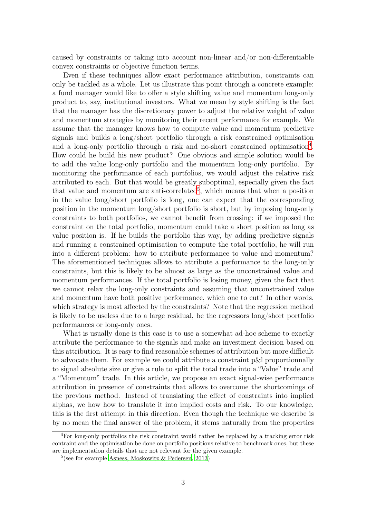caused by constraints or taking into account non-linear and/or non-differentiable convex constraints or objective function terms.

Even if these techniques allow exact performance attribution, constraints can only be tackled as a whole. Let us illustrate this point through a concrete example: a fund manager would like to offer a style shifting value and momentum long-only product to, say, institutional investors. What we mean by style shifting is the fact that the manager has the discretionary power to adjust the relative weight of value and momentum strategies by monitoring their recent performance for example. We assume that the manager knows how to compute value and momentum predictive signals and builds a long/short portfolio through a risk constrained optimisation and a long-only portfolio through a risk and no-short constrained optimisation<sup>[4](#page-2-0)</sup>. How could he build his new product? One obvious and simple solution would be to add the value long-only portfolio and the momentum long-only portfolio. By monitoring the performance of each portfolios, we would adjust the relative risk attributed to each. But that would be greatly suboptimal, especially given the fact that value and momentum are anti-correlated<sup>[5](#page-2-1)</sup>, which means that when a position in the value long/short portfolio is long, one can expect that the corresponding position in the momentum long/short portfolio is short, but by imposing long-only constraints to both portfolios, we cannot benefit from crossing: if we imposed the constraint on the total portfolio, momentum could take a short position as long as value position is. If he builds the portfolio this way, by adding predictive signals and running a constrained optimisation to compute the total portfolio, he will run into a different problem: how to attribute performance to value and momentum? The aforementioned techniques allows to attribute a performance to the long-only constraints, but this is likely to be almost as large as the unconstrained value and momentum performances. If the total portfolio is losing money, given the fact that we cannot relax the long-only constraints and assuming that unconstrained value and momentum have both positive performance, which one to cut? In other words, which strategy is most affected by the constraints? Note that the regression method is likely to be useless due to a large residual, be the regressors long/short portfolio performances or long-only ones.

What is usually done is this case is to use a somewhat ad-hoc scheme to exactly attribute the performance to the signals and make an investment decision based on this attribution. It is easy to find reasonable schemes of attribution but more difficult to advocate them. For example we could attribute a constraint p&l proportionnally to signal absolute size or give a rule to split the total trade into a "Value" trade and a "Momentum" trade. In this article, we propose an exact signal-wise performance attribution in presence of constraints that allows to overcome the shortcomings of the previous method. Instead of translating the effect of constraints into implied alphas, we how how to translate it into implied costs and risk. To our knowledge, this is the first attempt in this direction. Even though the technique we describe is by no mean the final answer of the problem, it stems naturally from the properties

<span id="page-2-0"></span><sup>4</sup>For long-only portfolios the risk constraint would rather be replaced by a tracking error risk contraint and the optimisation be done on portfolio positions relative to benchmark ones, but these are implementation details that are not relevant for the given example.

<span id="page-2-1"></span> $5$ (see for example [Asness, Moskowitz & Pedersen, 2013\)](#page-21-16)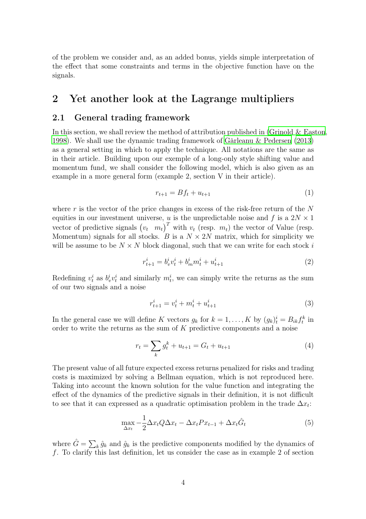of the problem we consider and, as an added bonus, yields simple interpretation of the effect that some constraints and terms in the objective function have on the signals.

### 2 Yet another look at the Lagrange multipliers

### 2.1 General trading framework

In this section, we shall review the method of attribution published in (Grinold  $\&$  Easton, [1998\)](#page-21-10). We shall use the dynamic trading framework of [Gârleanu & Pedersen \(2013\)](#page-22-0) as a general setting in which to apply the technique. All notations are the same as in their article. Building upon our exemple of a long-only style shifting value and momentum fund, we shall consider the following model, which is also given as an example in a more general form (example 2, section V in their article).

$$
r_{t+1} = Bf_t + u_{t+1} \tag{1}
$$

where r is the vector of the price changes in excess of the risk-free return of the  $N$ equities in our investment universe, u is the unpredictable noise and f is a  $2N \times 1$ vector of predictive signals  $(v_t \ m_t)^T$  with  $v_t$  (resp.  $m_t$ ) the vector of Value (resp. Momentum) signals for all stocks. B is a  $N \times 2N$  matrix, which for simplicity we will be assume to be  $N \times N$  block diagonal, such that we can write for each stock i

$$
r_{t+1}^i = b_v^i v_t^i + b_m^i m_t^i + u_{t+1}^i \tag{2}
$$

Redefining  $v_t^i$  as  $b_v^i v_t^i$  and similarly  $m_t^i$ , we can simply write the returns as the sum of our two signals and a noise

$$
r_{t+1}^i = v_t^i + m_t^i + u_{t+1}^i \tag{3}
$$

In the general case we will define K vectors  $g_k$  for  $k = 1, ..., K$  by  $(g_k)^i_t = B_{ik} f_t^k$  in order to write the returns as the sum of K predictive components and a noise

$$
r_t = \sum_k g_t^k + u_{t+1} = G_t + u_{t+1}
$$
\n<sup>(4)</sup>

The present value of all future expected excess returns penalized for risks and trading costs is maximized by solving a Bellman equation, which is not reproduced here. Taking into account the known solution for the value function and integrating the effect of the dynamics of the predictive signals in their definition, it is not difficult to see that it can expressed as a quadratic optimisation problem in the trade  $\Delta x_t$ :

<span id="page-3-0"></span>
$$
\max_{\Delta x_t} -\frac{1}{2} \Delta x_t Q \Delta x_t - \Delta x_t P x_{t-1} + \Delta x_t \hat{G}_t \tag{5}
$$

where  $\hat{G} = \sum_{k} \hat{g}_k$  and  $\hat{g}_k$  is the predictive components modified by the dynamics of f. To clarify this last definition, let us consider the case as in example 2 of section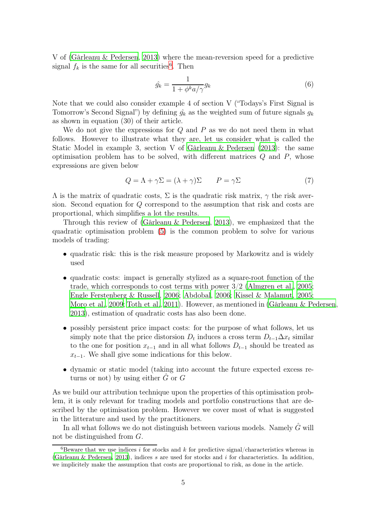V of [\(Gârleanu & Pedersen, 2013\)](#page-22-0) where the mean-reversion speed for a predictive signal  $f_k$  is the same for all securities<sup>[6](#page-4-0)</sup>. Then

$$
\hat{g_k} = \frac{1}{1 + \phi^k a / \gamma} g_k \tag{6}
$$

Note that we could also consider example 4 of section V ("Todays's First Signal is Tomorrow's Second Signal") by defining  $\hat{g}_k$  as the weighted sum of future signals  $g_k$ as shown in equation (30) of their article.

We do not give the expressions for  $Q$  and  $P$  as we do not need them in what follows. However to illustrate what they are, let us consider what is called the Static Model in example 3, section V of [Gârleanu & Pedersen \(2013](#page-22-0)): the same optimisation problem has to be solved, with different matrices  $Q$  and  $P$ , whose expressions are given below

$$
Q = \Lambda + \gamma \Sigma = (\lambda + \gamma) \Sigma \qquad P = \gamma \Sigma \tag{7}
$$

 $\Lambda$  is the matrix of quadratic costs,  $\Sigma$  is the quadratic risk matrix,  $\gamma$  the risk aversion. Second equation for Q correspond to the assumption that risk and costs are proportional, which simplifies a lot the results.

Through this review of [\(Gârleanu & Pedersen](#page-22-0), [2013\)](#page-22-0), we emphasized that the quadratic optimisation problem [\(5\)](#page-3-0) is the common problem to solve for various models of trading:

- quadratic risk: this is the risk measure proposed by Markowitz and is widely used
- quadratic costs: impact is generally stylized as a square-root function of the trade, which corresponds to cost terms with power 3/2 [\(Almgren et al., 2005;](#page-22-1) [Engle Ferstenberg & Russell](#page-22-2), [2006;](#page-22-2) [Abdobal, 2006](#page-22-3); [Kissel & Malamut](#page-22-4), [2005;](#page-22-4) [Moro et al.](#page-22-5), [2009;](#page-22-5) [Toth et al., 2011\)](#page-22-6). However, as mentioned in [\(Gârleanu & Pedersen](#page-22-0), [2013\)](#page-22-0), estimation of quadratic costs has also been done.
- possibly persistent price impact costs: for the purpose of what follows, let us simply note that the price distorsion  $D_t$  induces a cross term  $D_{t-1}\Delta x_t$  similar to the one for position  $x_{t-1}$  and in all what follows  $D_{t-1}$  should be treated as  $x_{t-1}$ . We shall give some indications for this below.
- dynamic or static model (taking into account the future expected excess returns or not) by using either  $\hat{G}$  or  $G$

As we build our attribution technique upon the properties of this optimisation problem, it is only relevant for trading models and portfolio constructions that are described by the optimisation problem. However we cover most of what is suggested in the litterature and used by the practitioners.

In all what follows we do not distinguish between various models. Namely  $\hat{G}$  will not be distinguished from G.

<span id="page-4-0"></span> ${}^{6}$ Beware that we use indices i for stocks and k for predictive signal/characteristics whereas in [\(Gârleanu & Pedersen, 2013](#page-22-0)), indices s are used for stocks and  $i$  for characteristics. In addition, we implicitely make the assumption that costs are proportional to risk, as done in the article.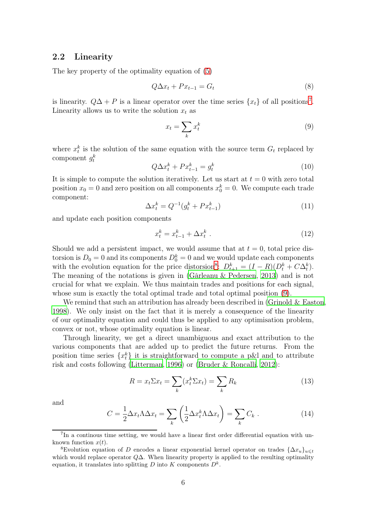#### <span id="page-5-4"></span>2.2 Linearity

The key property of the optimality equation of [\(5\)](#page-3-0)

<span id="page-5-3"></span>
$$
Q\Delta x_t + Px_{t-1} = G_t \tag{8}
$$

is linearity.  $Q\Delta + P$  is a linear operator over the time series  $\{x_t\}$  of all positions<sup>[7](#page-5-0)</sup>. Linearity allows us to write the solution  $x_t$  as

<span id="page-5-2"></span>
$$
x_t = \sum_k x_t^k \tag{9}
$$

where  $x_t^k$  is the solution of the same equation with the source term  $G_t$  replaced by component  $g_t^k$ 

$$
Q\Delta x_t^k + Px_{t-1}^k = g_t^k \tag{10}
$$

It is simple to compute the solution iteratively. Let us start at  $t = 0$  with zero total position  $x_0 = 0$  and zero position on all components  $x_0^k = 0$ . We compute each trade component:

$$
\Delta x_t^k = Q^{-1}(g_t^k + Px_{t-1}^k)
$$
\n(11)

and update each position components

$$
x_t^k = x_{t-1}^k + \Delta x_t^k \tag{12}
$$

Should we add a persistent impact, we would assume that at  $t = 0$ , total price distorsion is  $D_0 = 0$  and its components  $D_0^k = 0$  and we would update each components with the evolution equation for the price distorsion<sup>[8](#page-5-1)</sup>:  $D_{t+1}^k = (I - R)(D_t^k + C\Delta_t^k)$ . The meaning of the notations is given in [\(Gârleanu & Pedersen](#page-22-0), [2013\)](#page-22-0) and is not crucial for what we explain. We thus maintain trades and positions for each signal, whose sum is exactly the total optimal trade and total optimal position [\(9\)](#page-5-2).

We remind that such an attribution has already been described in (Grinold  $&$  Easton, [1998\)](#page-21-10). We only insist on the fact that it is merely a consequence of the linearity of our optimality equation and could thus be applied to any optimisation problem, convex or not, whose optimality equation is linear.

Through linearity, we get a direct unambiguous and exact attribution to the various components that are added up to predict the future returns. From the position time series  $\{x_t^k\}$  it is straightforward to compute a p&l and to attribute risk and costs following [\(Litterman](#page-22-7), [1996](#page-22-7)) or [\(Bruder & Roncalli, 2012](#page-22-8)):

$$
R = x_t \Sigma x_t = \sum_k (x_t^k \Sigma x_t) = \sum_k R_k \tag{13}
$$

and

$$
C = \frac{1}{2} \Delta x_t \Lambda \Delta x_t = \sum_k \left( \frac{1}{2} \Delta x_t^k \Lambda \Delta x_t \right) = \sum_k C_k \ . \tag{14}
$$

<sup>&</sup>lt;sup>7</sup>In a continous time setting, we would have a linear first order differential equation with unknown function  $x(t)$ .

<span id="page-5-1"></span><span id="page-5-0"></span><sup>&</sup>lt;sup>8</sup>Evolution equation of D encodes a linear exponential kernel operator on trades  ${\{\Delta x_u\}}_{u\leq t}$ which would replace operator  $Q\Delta$ . When linearity property is applied to the resulting optimality equation, it translates into splitting  $D$  into  $K$  components  $D^k$ .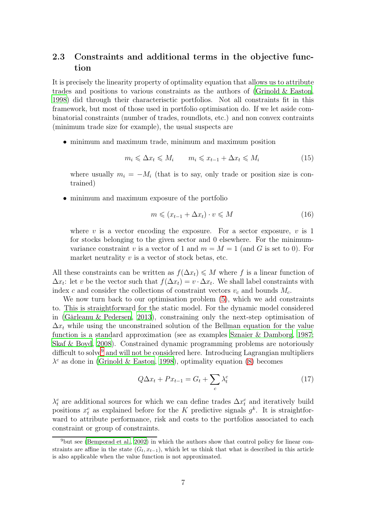### <span id="page-6-1"></span>2.3 Constraints and additional terms in the objective function

It is precisely the linearity property of optimality equation that allows us to attribute trades and positions to various constraints as the authors of [\(Grinold & Easton,](#page-21-10) [1998\)](#page-21-10) did through their characterisctic portfolios. Not all constraints fit in this framework, but most of those used in portfolio optimisation do. If we let aside combinatorial constraints (number of trades, roundlots, etc.) and non convex contraints (minimum trade size for example), the usual suspects are

• minimum and maximum trade, minimum and maximum position

$$
m_i \leq \Delta x_t \leq M_i \qquad m_i \leq x_{t-1} + \Delta x_t \leq M_i \tag{15}
$$

where usually  $m_i = -M_i$  (that is to say, only trade or position size is contrained)

• minimum and maximum exposure of the portfolio

$$
m \leqslant (x_{t-1} + \Delta x_t) \cdot v \leqslant M \tag{16}
$$

where v is a vector encoding the exposure. For a sector exposure,  $v$  is 1 for stocks belonging to the given sector and 0 elsewhere. For the minimumvariance constraint v is a vector of 1 and  $m = M = 1$  (and G is set to 0). For market neutrality  $v$  is a vector of stock betas, etc.

All these constraints can be written as  $f(\Delta x_t) \leqslant M$  where f is a linear function of  $\Delta x_t$ : let v be the vector such that  $f(\Delta x_t) = v \cdot \Delta x_t$ . We shall label constraints with index c and consider the collections of constraint vectors  $v_c$  and bounds  $M_c$ .

We now turn back to our optimisation problem  $(5)$ , which we add constraints to. This is straightforward for the static model. For the dynamic model considered in [\(Gârleanu & Pedersen, 2013](#page-22-0)), constraining only the next-step optimisation of  $\Delta x_t$  while using the unconstrained solution of the Bellman equation for the value function is a standard approximation (see as examples [Sznaier & Damborg, 1987;](#page-22-9) [Skaf & Boyd, 2008](#page-22-10)). Constrained dynamic programming problems are notoriously difficult to solve<sup>[9](#page-6-0)</sup> and will not be considered here. Introducing Lagrangian multipliers  $\lambda^c$  as done in [\(Grinold & Easton, 1998](#page-21-10)), optimality equation [\(8\)](#page-5-3) becomes

$$
Q\Delta x_t + Px_{t-1} = G_t + \sum_c \lambda_t^c \tag{17}
$$

 $\lambda_t^c$  are additional sources for which we can define trades  $\Delta x_t^c$  and iteratively build positions  $x_t^c$  as explained before for the K predictive signals  $g^k$ . It is straightforward to attribute performance, risk and costs to the portfolios associated to each constraint or group of constraints.

<span id="page-6-0"></span><sup>&</sup>lt;sup>9</sup>but see [\(Bemporad et al., 2002](#page-22-11)) in which the authors show that control policy for linear constraints are affine in the state  $(G_t, x_{t-1})$ , which let us think that what is described in this article is also applicable when the value function is not approximated.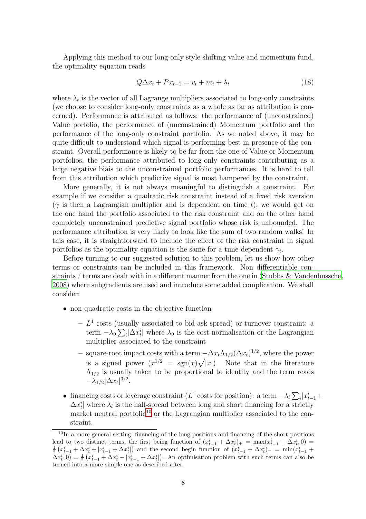Applying this method to our long-only style shifting value and momentum fund, the optimality equation reads

$$
Q\Delta x_t + Px_{t-1} = v_t + m_t + \lambda_t \tag{18}
$$

where  $\lambda_t$  is the vector of all Lagrange multipliers associated to long-only constraints (we choose to consider long-only constraints as a whole as far as attribution is concerned). Performance is attributed as follows: the performance of (unconstrained) Value porfolio, the performance of (unconstrained) Momentum portfolio and the performance of the long-only constraint portfolio. As we noted above, it may be quite difficult to understand which signal is performing best in presence of the constraint. Overall performance is likely to be far from the one of Value or Momentum portfolios, the performance attributed to long-only constraints contributing as a large negative biais to the unconstrained portfolio performances. It is hard to tell from this attribution which predictive signal is most hampered by the constraint.

More generally, it is not always meaningful to distinguish a constraint. For example if we consider a quadratic risk constraint instead of a fixed risk aversion ( $\gamma$  is then a Lagrangian multiplier and is dependent on time t), we would get on the one hand the portfolio associated to the risk constraint and on the other hand completely unconstrained predictive signal portfolio whose risk is unbounded. The performance attribution is very likely to look like the sum of two random walks! In this case, it is straightforward to include the effect of the risk constraint in signal portfolios as the optimality equation is the same for a time-dependent  $\gamma_t$ .

Before turning to our suggested solution to this problem, let us show how other terms or constraints can be included in this framework. Non differentiable constraints / terms are dealt with in a different manner from the one in [\(Stubbs & Vandenbussche](#page-21-13), [2008\)](#page-21-13) where subgradients are used and introduce some added complication. We shall consider:

- non quadratic costs in the objective function
	- $L<sup>1</sup>$  costs (usually associated to bid-ask spread) or turnover constraint: a term  $-\lambda_0 \sum_i |\Delta x_i^i|$  where  $\lambda_0$  is the cost normalisation or the Lagrangian multiplier associated to the constraint
	- square-root impact costs with a term  $-\Delta x_t \Lambda_{1/2}(\Delta x_t)^{1/2}$ , where the power is a signed power  $(x^{1/2} = \text{sgn}(x)\sqrt{|x|})$ . Note that in the literature  $\Lambda_{1/2}$  is usually taken to be proportional to identity and the term reads  $-\lambda_{1/2}|\Delta x_t|^{3/2}.$
- financing costs or leverage constraint ( $L^1$  costs for position): a term  $-\lambda_l \sum_i x_{t-1}^i +$  $\Delta x_t^i$  where  $\lambda_l$  is the half-spread between long and short financing for a strictly market neutral portfolio<sup>[10](#page-7-0)</sup> or the Lagrangian multiplier associated to the constraint.

<span id="page-7-0"></span><sup>&</sup>lt;sup>10</sup>In a more general setting, financing of the long positions and financing of the short positions lead to two distinct terms, the first being function of  $(x_{t-1}^i + \Delta x_t^i)_+ = \max(x_{t-1}^i + \Delta x_t^i, 0) =$  $\frac{1}{2}(x_{t-1}^i + \Delta x_t^i + |x_{t-1}^i + \Delta x_t^i|)$  and the second begin function of  $(x_{t-1}^i + \Delta x_t^i)$  =  $\min(x_{t-1}^i +$  $\Delta x_t^i(0) = \frac{1}{2} \left( x_{t-1}^i + \Delta x_t^i - \left| x_{t-1}^i + \Delta x_t^i \right| \right)$ . An optimisation problem with such terms can also be turned into a more simple one as described after.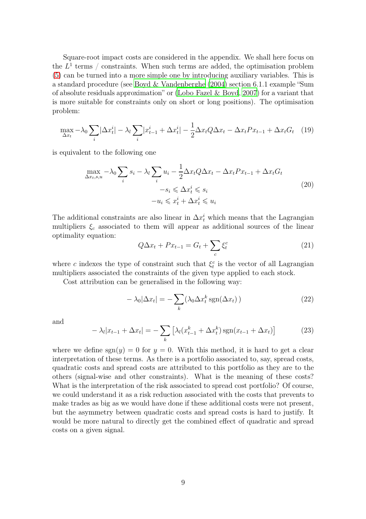Square-root impact costs are considered in the appendix. We shall here focus on the  $L^1$  terms / constraints. When such terms are added, the optimisation problem [\(5\)](#page-3-0) can be turned into a more simple one by introducing auxiliary variables. This is a standard procedure (see [Boyd & Vandenberghe \(2004](#page-21-15)) section 6.1.1 example "Sum of absolute residuals approximation" or [\(Lobo Fazel & Boyd](#page-22-12), [2007\)](#page-22-12) for a variant that is more suitable for constraints only on short or long positions). The optimisation problem:

$$
\max_{\Delta x_t} -\lambda_0 \sum_i |\Delta x_t^i| - \lambda_l \sum_i |x_{t-1}^i + \Delta x_t^i| - \frac{1}{2} \Delta x_t Q \Delta x_t - \Delta x_t P x_{t-1} + \Delta x_t G_t \quad (19)
$$

is equivalent to the following one

<span id="page-8-0"></span>
$$
\max_{\Delta x_t, s, u} -\lambda_0 \sum_i s_i - \lambda_l \sum_i u_i - \frac{1}{2} \Delta x_t Q \Delta x_t - \Delta x_t P x_{t-1} + \Delta x_t G_t
$$
  

$$
-s_i \leq \Delta x_t^i \leq s_i
$$
  

$$
-u_i \leq x_t^i + \Delta x_t^i \leq u_i
$$
 (20)

The additional constraints are also linear in  $\Delta x_t^i$  which means that the Lagrangian multipliers  $\xi_c$  associated to them will appear as additional sources of the linear optimality equation:

$$
Q\Delta x_t + Px_{t-1} = G_t + \sum_c \xi_t^c \tag{21}
$$

where c indexes the type of constraint such that  $\xi_t^c$  is the vector of all Lagrangian multipliers associated the constraints of the given type applied to each stock.

Cost attribution can be generalised in the following way:

$$
-\lambda_0|\Delta x_t| = -\sum_k (\lambda_0 \Delta x_t^k \operatorname{sgn}(\Delta x_t))
$$
\n(22)

and

$$
-\lambda_l |x_{t-1} + \Delta x_t| = -\sum_k \left[ \lambda_l (x_{t-1}^k + \Delta x_t^k) \operatorname{sgn}(x_{t-1} + \Delta x_t) \right]
$$
(23)

where we define  $sgn(y) = 0$  for  $y = 0$ . With this method, it is hard to get a clear interpretation of these terms. As there is a portfolio associated to, say, spread costs, quadratic costs and spread costs are attributed to this portfolio as they are to the others (signal-wise and other constraints). What is the meaning of these costs? What is the interpretation of the risk associated to spread cost portfolio? Of course, we could understand it as a risk reduction associated with the costs that prevents to make trades as big as we would have done if these additional costs were not present, but the asymmetry between quadratic costs and spread costs is hard to justify. It would be more natural to directly get the combined effect of quadratic and spread costs on a given signal.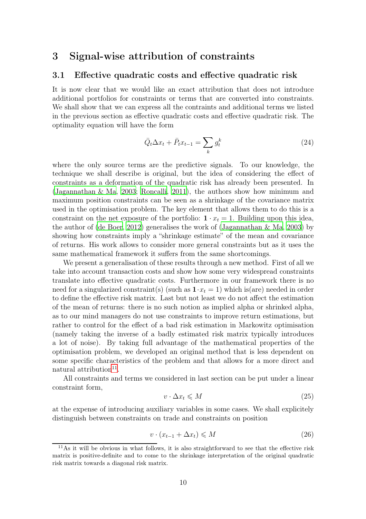### 3 Signal-wise attribution of constraints

#### 3.1 Effective quadratic costs and effective quadratic risk

It is now clear that we would like an exact attribution that does not introduce additional portfolios for constraints or terms that are converted into constraints. We shall show that we can express all the contraints and additional terms we listed in the previous section as effective quadratic costs and effective quadratic risk. The optimality equation will have the form

<span id="page-9-1"></span>
$$
\bar{Q}_t \Delta x_t + \bar{P}_t x_{t-1} = \sum_k g_t^k \tag{24}
$$

where the only source terms are the predictive signals. To our knowledge, the technique we shall describe is original, but the idea of considering the effect of constraints as a deformation of the quadratic risk has already been presented. In [\(Jagannathan & Ma, 2003;](#page-22-13) [Roncalli](#page-22-14), [2011\)](#page-22-14), the authors show how minimum and maximum position constraints can be seen as a shrinkage of the covariance matrix used in the optimisation problem. The key element that allows them to do this is a constraint on the net exposure of the portfolio:  $1 \cdot x_t = 1$ . Building upon this idea, the author of [\(de Boer](#page-22-15), [2012\)](#page-22-15) generalises the work of [\(Jagannathan & Ma, 2003\)](#page-22-13) by showing how constraints imply a "shrinkage estimate" of the mean and covariance of returns. His work allows to consider more general constraints but as it uses the same mathematical framework it suffers from the same shortcomings.

We present a generalisation of these results through a new method. First of all we take into account transaction costs and show how some very widespread constraints translate into effective quadratic costs. Furthermore in our framework there is no need for a singularized constraint(s) (such as  $1 \cdot x_t = 1$ ) which is(are) needed in order to define the effective risk matrix. Last but not least we do not affect the estimation of the mean of returns: there is no such notion as implied alpha or shrinked alpha, as to our mind managers do not use constraints to improve return estimations, but rather to control for the effect of a bad risk estimation in Markowitz optimisation (namely taking the inverse of a badly estimated risk matrix typically introduces a lot of noise). By taking full advantage of the mathematical properties of the optimisation problem, we developed an original method that is less dependent on some specific characteristics of the problem and that allows for a more direct and natural attribution<sup>[11](#page-9-0)</sup>.

All constraints and terms we considered in last section can be put under a linear constraint form,

$$
v \cdot \Delta x_t \leqslant M \tag{25}
$$

at the expense of introducing auxiliary variables in some cases. We shall explicitely distinguish between constraints on trade and constraints on position

$$
v \cdot (x_{t-1} + \Delta x_t) \leqslant M \tag{26}
$$

<span id="page-9-0"></span> $11\text{As}$  it will be obvious in what follows, it is also straightforward to see that the effective risk matrix is positive-definite and to come to the shrinkage interpretation of the original quadratic risk matrix towards a diagonal risk matrix.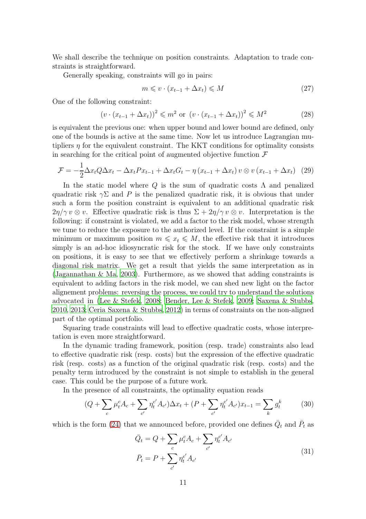We shall describe the technique on position constraints. Adaptation to trade constraints is straightforward.

Generally speaking, constraints will go in pairs:

$$
m \leqslant v \cdot (x_{t-1} + \Delta x_t) \leqslant M \tag{27}
$$

One of the following constraint:

$$
(v \cdot (x_{t-1} + \Delta x_t))^2 \le m^2 \text{ or } (v \cdot (x_{t-1} + \Delta x_t))^2 \le M^2
$$
 (28)

is equivalent the previous one: when upper bound and lower bound are defined, only one of the bounds is active at the same time. Now let us introduce Lagrangian mutipliers  $\eta$  for the equivalent constraint. The KKT conditions for optimality consists in searching for the critical point of augmented objective function  $\mathcal F$ 

$$
\mathcal{F} = -\frac{1}{2}\Delta x_t Q \Delta x_t - \Delta x_t P x_{t-1} + \Delta x_t G_t - \eta (x_{t-1} + \Delta x_t) v \otimes v (x_{t-1} + \Delta x_t) (29)
$$

In the static model where  $Q$  is the sum of quadratic costs  $\Lambda$  and penalized quadratic risk  $\gamma\Sigma$  and P is the penalized quadratic risk, it is obvious that under such a form the position constraint is equivalent to an additional quadratic risk  $2\eta/\gamma v \otimes v$ . Effective quadratic risk is thus  $\Sigma + 2\eta/\gamma v \otimes v$ . Interpretation is the following: if constraint is violated, we add a factor to the risk model, whose strength we tune to reduce the exposure to the authorized level. If the constraint is a simple minimum or maximum position  $m \leq x_t \leq M$ , the effective risk that it introduces simply is an ad-hoc idiosyncratic risk for the stock. If we have only constraints on positions, it is easy to see that we effectively perform a shrinkage towards a diagonal risk matrix. We get a result that yields the same interpretation as in [\(Jagannathan & Ma, 2003\)](#page-22-13). Furthermore, as we showed that adding constraints is equivalent to adding factors in the risk model, we can shed new light on the factor alignement problems: reversing the process, we could try to understand the solutions advocated in [\(Lee & Stefek, 2008;](#page-23-0) [Bender, Lee & Stefek, 2009](#page-23-1); [Saxena & Stubbs](#page-23-2), [2010,](#page-23-2) [2013](#page-23-3); [Ceria Saxena & Stubbs, 2012\)](#page-23-4) in terms of constraints on the non-aligned part of the optimal portfolio.

Squaring trade constraints will lead to effective quadratic costs, whose interpretation is even more straightforward.

In the dynamic trading framework, position (resp. trade) constraints also lead to effective quadratic risk (resp. costs) but the expression of the effective quadratic risk (resp. costs) as a function of the original quadratic risk (resp. costs) and the penalty term introduced by the constraint is not simple to establish in the general case. This could be the purpose of a future work.

In the presence of all constraints, the optimality equation reads

$$
(Q + \sum_{c} \mu_t^c A_c + \sum_{c'} \eta_t^{c'} A_{c'}) \Delta x_t + (P + \sum_{c'} \eta_t^{c'} A_{c'}) x_{t-1} = \sum_{k} g_t^k \tag{30}
$$

which is the form [\(24\)](#page-9-1) that we announced before, provided one defines  $\overline{Q}_t$  and  $\overline{P}_t$  as

$$
\bar{Q}_t = Q + \sum_c \mu_t^c A_c + \sum_{c'} \eta_t^{c'} A_{c'}
$$
\n
$$
\bar{P}_t = P + \sum_{c'} \eta_t^{c'} A_{c'}
$$
\n(31)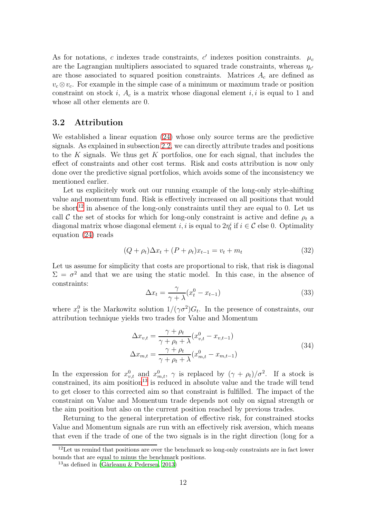As for notations, c indexes trade constraints, c' indexes position constraints.  $\mu_c$ are the Lagrangian multipliers associated to squared trade constraints, whereas  $\eta_{c'}$ are those associated to squared position constraints. Matrices  $A_c$  are defined as  $v_c \otimes v_c$ . For example in the simple case of a minimum or maximum trade or position constraint on stock i,  $A_c$  is a matrix whose diagonal element i, i is equal to 1 and whose all other elements are 0.

#### 3.2 Attribution

We established a linear equation [\(24\)](#page-9-1) whose only source terms are the predictive signals. As explained in subsection [2.2,](#page-5-4) we can directly attribute trades and positions to the K signals. We thus get  $K$  portfolios, one for each signal, that includes the effect of constraints and other cost terms. Risk and costs attribution is now only done over the predictive signal portfolios, which avoids some of the inconsistency we mentioned earlier.

Let us explicitely work out our running example of the long-only style-shifting value and momentum fund. Risk is effectively increased on all positions that would be short<sup>[12](#page-11-0)</sup> in absence of the long-only constraints until they are equal to 0. Let us call C the set of stocks for which for long-only constraint is active and define  $\rho_t$  a diagonal matrix whose diagonal element *i*, *i* is equal to  $2\eta_i^i$  if  $i \in \mathcal{C}$  else 0. Optimality equation [\(24\)](#page-9-1) reads

$$
(Q + \rho_t)\Delta x_t + (P + \rho_t)x_{t-1} = v_t + m_t \tag{32}
$$

Let us assume for simplicity that costs are proportional to risk, that risk is diagonal  $\Sigma = \sigma^2$  and that we are using the static model. In this case, in the absence of constraints:

$$
\Delta x_t = \frac{\gamma}{\gamma + \lambda} (x_t^0 - x_{t-1})
$$
\n(33)

where  $x_t^0$ <sup>0</sup> is the Markowitz solution  $1/(\gamma \sigma^2) G_t$ . In the presence of constraints, our attribution technique yields two trades for Value and Momentum

$$
\Delta x_{v,t} = \frac{\gamma + \rho_t}{\gamma + \rho_t + \lambda} (x_{v,t}^0 - x_{v,t-1})
$$
  

$$
\Delta x_{m,t} = \frac{\gamma + \rho_t}{\gamma + \rho_t + \lambda} (x_{m,t}^0 - x_{m,t-1})
$$
\n(34)

In the expression for  $x_{v,t}^0$  and  $x_{m,t}^0$ ,  $\gamma$  is replaced by  $(\gamma + \rho_t)/\sigma^2$ . If a stock is  $\alpha$  constrained, its aim position<sup>[13](#page-11-1)</sup> is reduced in absolute value and the trade will tend to get closer to this corrected aim so that constraint is fulfilled. The impact of the constraint on Value and Momentum trade depends not only on signal strength or the aim position but also on the current position reached by previous trades.

Returning to the general interpretation of effective risk, for constrained stocks Value and Momentum signals are run with an effectively risk aversion, which means that even if the trade of one of the two signals is in the right direction (long for a

 $12$ Let us remind that positions are over the benchmark so long-only constraints are in fact lower bounds that are equal to minus the benchmark positions.

<span id="page-11-1"></span><span id="page-11-0"></span><sup>&</sup>lt;sup>13</sup>as defined in [\(Gârleanu & Pedersen, 2013\)](#page-22-0)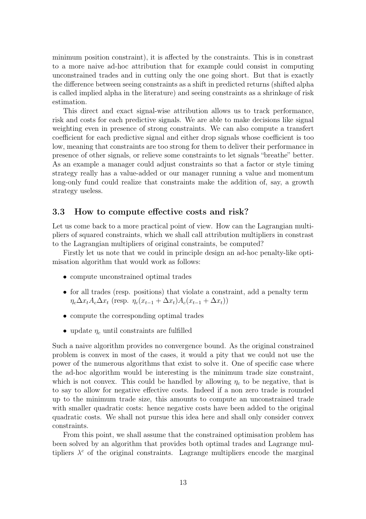minimum position constraint), it is affected by the constraints. This is in constrast to a more naive ad-hoc attribution that for example could consist in computing unconstrained trades and in cutting only the one going short. But that is exactly the difference between seeing constraints as a shift in predicted returns (shifted alpha is called implied alpha in the literature) and seeing constraints as a shrinkage of risk estimation.

This direct and exact signal-wise attribution allows us to track performance, risk and costs for each predictive signals. We are able to make decisions like signal weighting even in presence of strong constraints. We can also compute a transfert coefficient for each predictive signal and either drop signals whose coefficient is too low, meaning that constraints are too strong for them to deliver their performance in presence of other signals, or relieve some constraints to let signals "breathe" better. As an example a manager could adjust constraints so that a factor or style timing strategy really has a value-added or our manager running a value and momentum long-only fund could realize that constraints make the addition of, say, a growth strategy useless.

#### 3.3 How to compute effective costs and risk?

Let us come back to a more practical point of view. How can the Lagrangian multipliers of squared constraints, which we shall call attribution multipliers in constrast to the Lagrangian multipliers of original constraints, be computed?

Firstly let us note that we could in principle design an ad-hoc penalty-like optimisation algorithm that would work as follows:

- compute unconstrained optimal trades
- for all trades (resp. positions) that violate a constraint, add a penalty term  $\eta_c \Delta x_t A_c \Delta x_t$  (resp.  $\eta_c(x_{t-1} + \Delta x_t) A_c(x_{t-1} + \Delta x_t)$ )
- compute the corresponding optimal trades
- update  $\eta_c$  until constraints are fulfilled

Such a naive algorithm provides no convergence bound. As the original constrained problem is convex in most of the cases, it would a pity that we could not use the power of the numerous algorithms that exist to solve it. One of specific case where the ad-hoc algorithm would be interesting is the minimum trade size constraint, which is not convex. This could be handled by allowing  $\eta_c$  to be negative, that is to say to allow for negative effective costs. Indeed if a non zero trade is rounded up to the minimum trade size, this amounts to compute an unconstrained trade with smaller quadratic costs: hence negative costs have been added to the original quadratic costs. We shall not pursue this idea here and shall only consider convex constraints.

From this point, we shall assume that the constrained optimisation problem has been solved by an algorithm that provides both optimal trades and Lagrange multipliers  $\lambda^c$  of the original constraints. Lagrange multipliers encode the marginal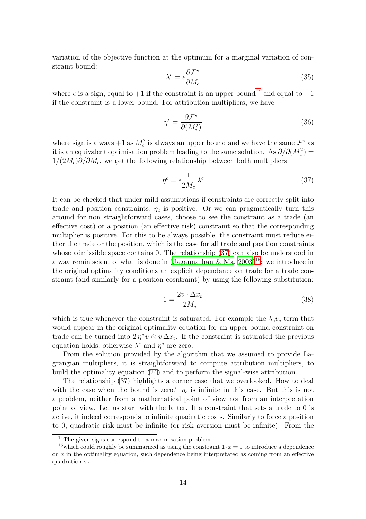variation of the objective function at the optimum for a marginal variation of constraint bound:

$$
\lambda^c = \epsilon \frac{\partial \mathcal{F}^{\star}}{\partial M_c} \tag{35}
$$

where  $\epsilon$  is a sign, equal to +1 if the constraint is an upper bound<sup>[14](#page-13-0)</sup> and equal to -1 if the constraint is a lower bound. For attribution multipliers, we have

$$
\eta^c = \frac{\partial \mathcal{F}^*}{\partial (M_c^2)}\tag{36}
$$

where sign is always  $+1$  as  $M_c^2$  is always an upper bound and we have the same  $\mathcal{F}^\star$  as it is an equivalent optimisation problem leading to the same solution. As  $\partial/\partial(M_c^2)$  =  $1/(2M_c)\partial/\partial M_c$ , we get the following relationship between both multipliers

<span id="page-13-1"></span>
$$
\eta^c = \epsilon \frac{1}{2M_c} \lambda^c \tag{37}
$$

It can be checked that under mild assumptions if constraints are correctly split into trade and position constraints,  $\eta_c$  is positive. Or we can pragmatically turn this around for non straightforward cases, choose to see the constraint as a trade (an effective cost) or a position (an effective risk) constraint so that the corresponding multiplier is positive. For this to be always possible, the constraint must reduce either the trade or the position, which is the case for all trade and position constraints whose admissible space contains 0. The relationship [\(37\)](#page-13-1) can also be understood in a way reminiscient of what is done in [\(Jagannathan & Ma](#page-22-13),  $2003$ )<sup>[15](#page-13-2)</sup>: we introduce in the original optimality conditions an explicit dependance on trade for a trade constraint (and similarly for a position cosntraint) by using the following substitution:

$$
1 = \frac{2v \cdot \Delta x_t}{2M_c} \tag{38}
$$

which is true whenever the constraint is saturated. For example the  $\lambda_c v_c$  term that would appear in the original optimality equation for an upper bound constraint on trade can be turned into  $2\eta^c v \otimes v \Delta x_t$ . If the constraint is saturated the previous equation holds, otherwise  $\lambda^c$  and  $\eta^c$  are zero.

From the solution provided by the algorithm that we assumed to provide Lagrangian multipliers, it is straightforward to compute attribution multipliers, to build the optimality equation [\(24\)](#page-9-1) and to perform the signal-wise attribution.

The relationship [\(37\)](#page-13-1) highlights a corner case that we overlooked. How to deal with the case when the bound is zero?  $\eta_c$  is infinite in this case. But this is not a problem, neither from a mathematical point of view nor from an interpretation point of view. Let us start with the latter. If a constraint that sets a trade to 0 is active, it indeed corresponds to infinite quadratic costs. Similarly to force a position to 0, quadratic risk must be infinite (or risk aversion must be infinite). From the

<span id="page-13-0"></span><sup>&</sup>lt;sup>14</sup>The given signs correspond to a maximisation problem.

<span id="page-13-2"></span><sup>&</sup>lt;sup>15</sup>which could roughly be summarized as using the constraint  $1 \cdot x = 1$  to introduce a dependence on  $x$  in the optimality equation, such dependence being interpretated as coming from an effective quadratic risk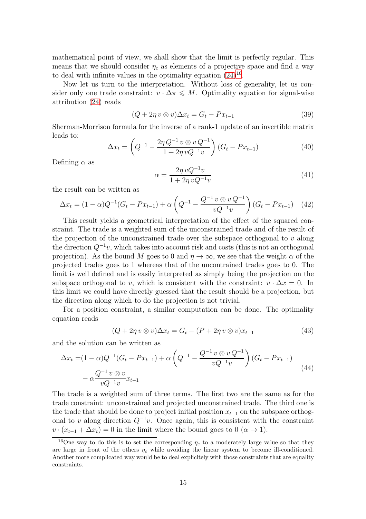mathematical point of view, we shall show that the limit is perfectly regular. This means that we should consider  $\eta_c$  as elements of a projective space and find a way to deal with infinite values in the optimality equation  $(24)^{16}$  $(24)^{16}$  $(24)^{16}$ .

Now let us turn to the interpretation. Without loss of generality, let us consider only one trade constraint:  $v \cdot \Delta \pi \leq M$ . Optimality equation for signal-wise attribution [\(24\)](#page-9-1) reads

$$
(Q + 2\eta v \otimes v)\Delta x_t = G_t - Px_{t-1}
$$
\n(39)

Sherman-Morrison formula for the inverse of a rank-1 update of an invertible matrix leads to:

$$
\Delta x_t = \left( Q^{-1} - \frac{2\eta Q^{-1} v \otimes v Q^{-1}}{1 + 2\eta v Q^{-1} v} \right) (G_t - Px_{t-1})
$$
\n(40)

Defining  $\alpha$  as

$$
\alpha = \frac{2\eta v Q^{-1} v}{1 + 2\eta v Q^{-1} v} \tag{41}
$$

the result can be written as

$$
\Delta x_t = (1 - \alpha)Q^{-1}(G_t - Px_{t-1}) + \alpha \left(Q^{-1} - \frac{Q^{-1}v \otimes vQ^{-1}}{vQ^{-1}v}\right)(G_t - Px_{t-1}) \quad (42)
$$

This result yields a geometrical interpretation of the effect of the squared constraint. The trade is a weighted sum of the unconstrained trade and of the result of the projection of the unconstrained trade over the subspace orthogonal to  $v$  along the direction  $Q^{-1}v$ , which takes into account risk and costs (this is not an orthogonal projection). As the bound M goes to 0 and  $\eta \to \infty$ , we see that the weight  $\alpha$  of the projected trades goes to 1 whereas that of the uncontrained trades goes to 0. The limit is well defined and is easily interpreted as simply being the projection on the subspace orthogonal to v, which is consistent with the constraint:  $v \cdot \Delta x = 0$ . In this limit we could have directly guessed that the result should be a projection, but the direction along which to do the projection is not trivial.

For a position constraint, a similar computation can be done. The optimality equation reads

$$
(Q + 2\eta v \otimes v)\Delta x_t = G_t - (P + 2\eta v \otimes v)x_{t-1}
$$
\n(43)

and the solution can be written as

$$
\Delta x_t = (1 - \alpha)Q^{-1}(G_t - Px_{t-1}) + \alpha \left(Q^{-1} - \frac{Q^{-1}v \otimes vQ^{-1}}{vQ^{-1}v}\right)(G_t - Px_{t-1})
$$
  
 
$$
- \alpha \frac{Q^{-1}v \otimes v}{vQ^{-1}v}x_{t-1}
$$
 (44)

The trade is a weighted sum of three terms. The first two are the same as for the trade constraint: unconstrained and projected unconstrained trade. The third one is the trade that should be done to project initial position  $x_{t-1}$  on the subspace orthogonal to v along direction  $Q^{-1}v$ . Once again, this is consistent with the constraint  $v \cdot (x_{t-1} + \Delta x_t) = 0$  in the limit where the bound goes to  $0 \ (\alpha \to 1)$ .

<span id="page-14-0"></span><sup>&</sup>lt;sup>16</sup>One way to do this is to set the corresponding  $\eta_c$  to a moderately large value so that they are large in front of the others  $\eta_c$  while avoiding the linear system to become ill-conditioned. Another more complicated way would be to deal explicitely with those constraints that are equality constraints.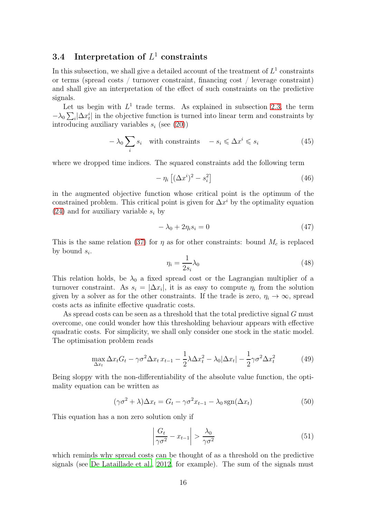### 3.4 Interpretation of  $L^1$  constraints

In this subsection, we shall give a detailed account of the treatment of  $L^1$  constraints or terms (spread costs / turnover constraint, financing cost / leverage constraint) and shall give an interpretation of the effect of such constraints on the predictive signals.

Let us begin with  $L^1$  trade terms. As explained in subsection [2.3,](#page-6-1) the term  $-\lambda_0 \sum_i |\Delta x_i^i|$  in the objective function is turned into linear term and constraints by introducing auxiliary variables  $s_i$  (see [\(20\)](#page-8-0))

$$
-\lambda_0 \sum_i s_i \quad \text{with constraints} \quad -s_i \leqslant \Delta x^i \leqslant s_i \tag{45}
$$

where we dropped time indices. The squared constraints add the following term

$$
-\eta_i \left[ (\Delta x^i)^2 - s_i^2 \right] \tag{46}
$$

in the augmented objective function whose critical point is the optimum of the constrained problem. This critical point is given for  $\Delta x^i$  by the optimality equation  $(24)$  and for auxiliary variable  $s_i$  by

<span id="page-15-0"></span>
$$
-\lambda_0 + 2\eta_i s_i = 0\tag{47}
$$

This is the same relation [\(37\)](#page-13-1) for  $\eta$  as for other constraints: bound  $M_c$  is replaced by bound  $s_i$ .

$$
\eta_i = \frac{1}{2s_i} \lambda_0 \tag{48}
$$

This relation holds, be  $\lambda_0$  a fixed spread cost or the Lagrangian multiplier of a turnover constraint. As  $s_i = |\Delta x_i|$ , it is as easy to compute  $\eta_i$  from the solution given by a solver as for the other constraints. If the trade is zero,  $\eta_i \to \infty$ , spread costs acts as infinite effective quadratic costs.

As spread costs can be seen as a threshold that the total predictive signal G must overcome, one could wonder how this thresholding behaviour appears with effective quadratic costs. For simplicity, we shall only consider one stock in the static model. The optimisation problem reads

$$
\max_{\Delta x_t} \Delta x_t G_t - \gamma \sigma^2 \Delta x_t x_{t-1} - \frac{1}{2} \lambda \Delta x_t^2 - \lambda_0 |\Delta x_t| - \frac{1}{2} \gamma \sigma^2 \Delta x_t^2 \tag{49}
$$

Being sloppy with the non-differentiability of the absolute value function, the optimality equation can be written as

$$
(\gamma \sigma^2 + \lambda) \Delta x_t = G_t - \gamma \sigma^2 x_{t-1} - \lambda_0 \operatorname{sgn}(\Delta x_t)
$$
 (50)

This equation has a non zero solution only if

$$
\left|\frac{G_t}{\gamma \sigma^2} - x_{t-1}\right| > \frac{\lambda_0}{\gamma \sigma^2} \tag{51}
$$

which reminds why spread costs can be thought of as a threshold on the predictive signals (see [De Lataillade et al., 2012,](#page-23-5) for example). The sum of the signals must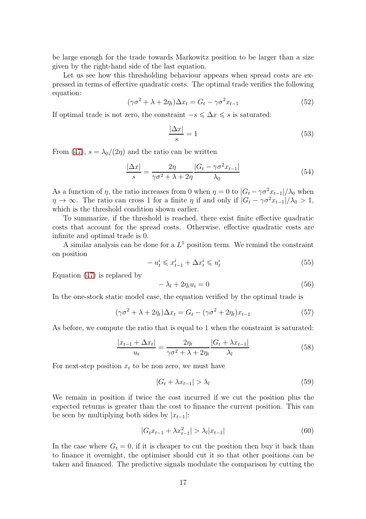be large enough for the trade towards Markowitz position to be larger than a size given by the right-hand side of the last equation.

Let us see how this thresholding behaviour appears when spread costs are expressed in terms of effective quadratic costs. The optimal trade verifies the following equation:

$$
(\gamma \sigma^2 + \lambda + 2\eta_t)\Delta x_t = G_t - \gamma \sigma^2 x_{t-1}
$$
\n(52)

If optimal trade is not zero, the constraint  $-s \leq \Delta x \leq s$  is saturated:

$$
\frac{|\Delta x|}{s} = 1\tag{53}
$$

From [\(47\)](#page-15-0),  $s = \lambda_0/(2\eta)$  and the ratio can be written

$$
\frac{|\Delta x|}{s} = \frac{2\eta}{\gamma \sigma^2 + \lambda + 2\eta} \frac{|G_t - \gamma \sigma^2 x_{t-1}|}{\lambda_0} \tag{54}
$$

As a function of  $\eta$ , the ratio increases from 0 when  $\eta = 0$  to  $|G_t - \gamma \sigma^2 x_{t-1}|/\lambda_0$  when  $\eta \to \infty$ . The ratio can cross 1 for a finite  $\eta$  if and only if  $|G_t - \gamma \sigma^2 x_{t-1}|/\lambda_0 > 1$ , which is the threshold condition shown earlier.

To summarize, if the threshold is reached, there exist finite effective quadratic costs that account for the spread costs. Otherwise, effective quadratic costs are infinite and optimal trade is 0.

A similar analysis can be done for a  $L^1$  position term. We remind the constraint on position

$$
-u_t^i \leqslant x_{t-1}^i + \Delta x_t^i \leqslant u_t^i \tag{55}
$$

Equation [\(47\)](#page-15-0) is replaced by

$$
-\lambda_l + 2\eta_i u_i = 0 \tag{56}
$$

In the one-stock static model case, the equation verified by the optimal trade is

$$
(\gamma \sigma^2 + \lambda + 2\eta_t)\Delta x_t = G_t - (\gamma \sigma^2 + 2\eta_t)x_{t-1}
$$
\n(57)

As before, we compute the ratio that is equal to 1 when the constraint is saturated:

$$
\frac{|x_{t-1} + \Delta x_t|}{u_t} = \frac{2\eta_t}{\gamma \sigma^2 + \lambda + 2\eta_t} \frac{|G_t + \lambda x_{t-1}|}{\lambda_l}
$$
(58)

For next-step position  $x_t$  to be non zero, we must have

$$
|G_t + \lambda x_{t-1}| > \lambda_l \tag{59}
$$

We remain in position if twice the cost incurred if we cut the position plus the expected returns is greater than the cost to finance the current position. This can be seen by multiplying both sides by  $|x_{t-1}|$ :

$$
|G_t x_{t-1} + \lambda x_{t-1}^2| > \lambda_l |x_{t-1}|
$$
\n(60)

In the case where  $G_t = 0$ , if it is cheaper to cut the position then buy it back than to finance it overnight, the optimiser should cut it so that other positions can be taken and financed. The predictive signals modulate the comparison by cutting the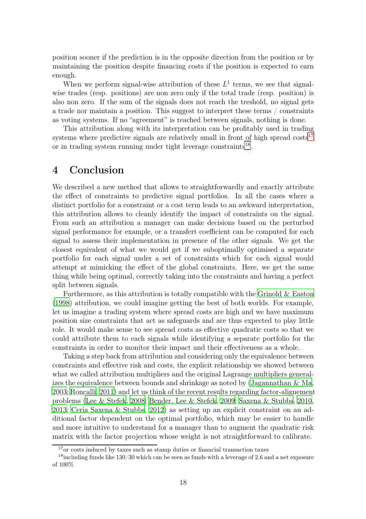position sooner if the prediction is in the opposite direction from the position or by maintaining the position despite financing costs if the position is expected to earn enough.

When we perform signal-wise attribution of these  $L<sup>1</sup>$  terms, we see that signalwise trades (resp. positions) are non zero only if the total trade (resp. position) is also non zero. If the sum of the signals does not reach the treshold, no signal gets a trade nor maintain a position. This suggest to interpret these terms / constraints as voting systems. If no "agreement" is reached between signals, nothing is done.

This attribution along with its interpretation can be profitably used in trading systems where predictive signals are relatively small in front of high spread  $costs<sup>17</sup>$  $costs<sup>17</sup>$  $costs<sup>17</sup>$ or in trading system running under tight leverage constraints<sup>[18](#page-17-1)</sup>.

### 4 Conclusion

We described a new method that allows to straightforwardly and exactly attribute the effect of constraints to predictive signal portfolios. In all the cases where a distinct portfolio for a constraint or a cost term leads to an awkward interpretation, this attribution allows to cleanly identify the impact of constraints on the signal. From such an attribution a manager can make decisions based on the perturbed signal performance for example, or a transfert coefficient can be computed for each signal to assess their implementation in presence of the other signals. We get the closest equivalent of what we would get if we suboptimally optimised a separate portfolio for each signal under a set of constraints which for each signal would attempt at mimicking the effect of the global constraints. Here, we get the same thing while being optimal, correctly taking into the constraints and having a perfect split between signals.

Furthermore, as this attribution is totally compatible with the Grinold  $\&$  Easton [\(1998](#page-21-10)) attribution, we could imagine getting the best of both worlds. For example, let us imagine a trading system where spread costs are high and we have maximum position size constraints that act as safeguards and are thus expected to play little role. It would make sense to see spread costs as effective quadratic costs so that we could attribute them to each signals while identifying a separate portfolio for the constraints in order to monitor their impact and their effectiveness as a whole.

Taking a step back from attribution and considering only the equivalence between constraints and effective risk and costs, the explicit relationship we showed between what we called attribution multipliers and the original Lagrange multipliers generalizes the equivalence between bounds and shrinkage as noted by [\(Jagannathan & Ma,](#page-22-13) [2003;](#page-22-13) [Roncalli](#page-22-14), [2011](#page-22-14)) and let us think of the recent results regarding factor-alignement problems [\(Lee & Stefek](#page-23-0), [2008;](#page-23-0) [Bender, Lee & Stefek](#page-23-1), [2009;](#page-23-1) [Saxena & Stubbs, 2010,](#page-23-2) [2013;](#page-23-3) [Ceria Saxena & Stubbs](#page-23-4), [2012\)](#page-23-4) as setting up an explicit constraint on an additional factor dependent on the optimal portfolio, which may be easier to handle and more intuitive to understand for a manager than to augment the quadratic risk matrix with the factor projection whose weight is not straightforward to calibrate.

<span id="page-17-0"></span> $17$ <sub>or</sub> costs induced by taxes such as stamp duties or financial transaction taxes

<span id="page-17-1"></span><sup>&</sup>lt;sup>18</sup>including funds like  $130/30$  which can be seen as funds with a leverage of 2.6 and a net exposure of 100%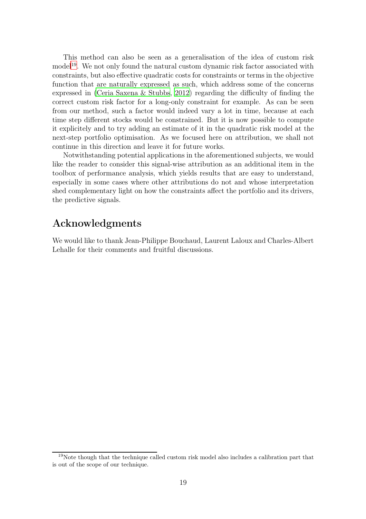This method can also be seen as a generalisation of the idea of custom risk model<sup>[19](#page-18-0)</sup>. We not only found the natural custom dynamic risk factor associated with constraints, but also effective quadratic costs for constraints or terms in the objective function that are naturally expressed as such, which address some of the concerns expressed in [\(Ceria Saxena & Stubbs](#page-23-4), [2012\)](#page-23-4) regarding the difficulty of finding the correct custom risk factor for a long-only constraint for example. As can be seen from our method, such a factor would indeed vary a lot in time, because at each time step different stocks would be constrained. But it is now possible to compute it explicitely and to try adding an estimate of it in the quadratic risk model at the next-step portfolio optimisation. As we focused here on attribution, we shall not continue in this direction and leave it for future works.

Notwithstanding potential applications in the aforementioned subjects, we would like the reader to consider this signal-wise attribution as an additional item in the toolbox of performance analysis, which yields results that are easy to understand, especially in some cases where other attributions do not and whose interpretation shed complementary light on how the constraints affect the portfolio and its drivers, the predictive signals.

### Acknowledgments

We would like to thank Jean-Philippe Bouchaud, Laurent Laloux and Charles-Albert Lehalle for their comments and fruitful discussions.

<span id="page-18-0"></span><sup>19</sup>Note though that the technique called custom risk model also includes a calibration part that is out of the scope of our technique.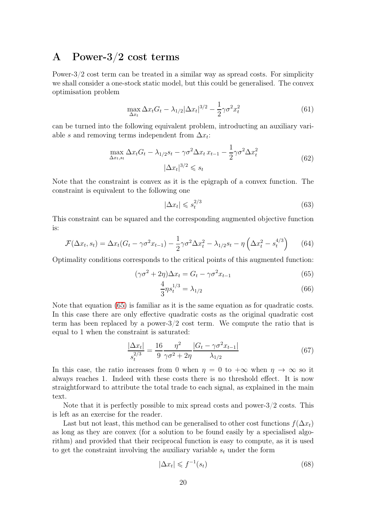### A Power-3/2 cost terms

Power-3/2 cost term can be treated in a similar way as spread costs. For simplicity we shall consider a one-stock static model, but this could be generalised. The convex optimisation problem

$$
\max_{\Delta x_t} \Delta x_t G_t - \lambda_{1/2} |\Delta x_t|^{3/2} - \frac{1}{2} \gamma \sigma^2 x_t^2 \tag{61}
$$

can be turned into the following equivalent problem, introducting an auxiliary variable s and removing terms independent from  $\Delta x_i$ :

$$
\max_{\Delta x_t, s_t} \Delta x_t G_t - \lambda_{1/2} s_t - \gamma \sigma^2 \Delta x_t x_{t-1} - \frac{1}{2} \gamma \sigma^2 \Delta x_t^2
$$
\n
$$
|\Delta x_t|^{3/2} \leqslant s_t
$$
\n(62)

Note that the constraint is convex as it is the epigraph of a convex function. The constraint is equivalent to the following one

$$
|\Delta x_t| \leqslant s_t^{2/3} \tag{63}
$$

This constraint can be squared and the corresponding augmented objective function is:

$$
\mathcal{F}(\Delta x_t, s_t) = \Delta x_t (G_t - \gamma \sigma^2 x_{t-1}) - \frac{1}{2} \gamma \sigma^2 \Delta x_t^2 - \lambda_{1/2} s_t - \eta \left( \Delta x_t^2 - s_t^{4/3} \right) \tag{64}
$$

Optimality conditions corresponds to the critical points of this augmented function:

$$
(\gamma \sigma^2 + 2\eta)\Delta x_t = G_t - \gamma \sigma^2 x_{t-1}
$$
\n(65)

<span id="page-19-0"></span>
$$
\frac{4}{3}\eta s_t^{1/3} = \lambda_{1/2} \tag{66}
$$

Note that equation [\(65\)](#page-19-0) is familiar as it is the same equation as for quadratic costs. In this case there are only effective quadratic costs as the original quadratic cost term has been replaced by a power-3/2 cost term. We compute the ratio that is equal to 1 when the constraint is saturated:

$$
\frac{|\Delta x_t|}{s_t^{2/3}} = \frac{16}{9} \frac{\eta^2}{\gamma \sigma^2 + 2\eta} \frac{|G_t - \gamma \sigma^2 x_{t-1}|}{\lambda_{1/2}}
$$
(67)

In this case, the ratio increases from 0 when  $\eta = 0$  to  $+\infty$  when  $\eta \to \infty$  so it always reaches 1. Indeed with these costs there is no threshold effect. It is now straightforward to attribute the total trade to each signal, as explained in the main text.

Note that it is perfectly possible to mix spread costs and power-3/2 costs. This is left as an exercise for the reader.

Last but not least, this method can be generalised to other cost functions  $f(\Delta x_t)$ as long as they are convex (for a solution to be found easily by a specialised algorithm) and provided that their reciprocal function is easy to compute, as it is used to get the constraint involving the auxiliary variable  $s_t$  under the form

$$
|\Delta x_t| \leqslant f^{-1}(s_t) \tag{68}
$$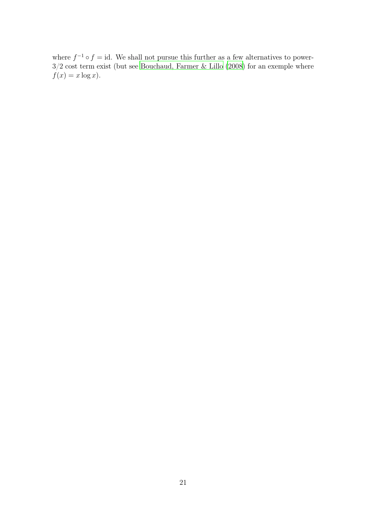where  $f^{-1} \circ f = id$ . We shall not pursue this further as a few alternatives to power-3/2 cost term exist (but see [Bouchaud, Farmer & Lillo \(2008](#page-23-6)) for an exemple where  $f(x) = x \log x$ .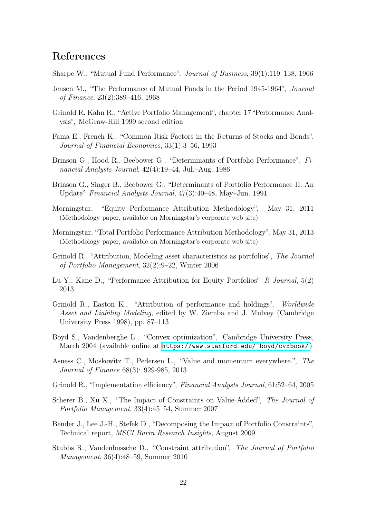## References

<span id="page-21-0"></span>Sharpe W., "Mutual Fund Performance", *Journal of Business*, 39(1):119–138, 1966

- <span id="page-21-1"></span>Jensen M., "The Performance of Mutual Funds in the Period 1945-1964", *Journal of Finance*, 23(2):389–416, 1968
- <span id="page-21-2"></span>Grinold R, Kahn R., "Active Portfolio Management", chapter 17 "Performance Analysis", McGraw-Hill 1999 second edition
- <span id="page-21-3"></span>Fama E., French K., "Common Risk Factors in the Returns of Stocks and Bonds", *Journal of Financial Economics*, 33(1):3–56, 1993
- <span id="page-21-4"></span>Brinson G., Hood R., Beebower G., "Determinants of Portfolio Performance", *Financial Analysts Journal*, 42(4):19–44, Jul.–Aug. 1986
- <span id="page-21-5"></span>Brinson G., Singer B., Beebower G., "Determinants of Portfolio Performance II: An Update" *Financial Analysts Journal*, 47(3):40–48, May–Jun. 1991
- <span id="page-21-6"></span>Morningstar, "Equity Performance Attribution Methodology", May 31, 2011 (Methodology paper, available on Morningstar's corporate web site)
- <span id="page-21-7"></span>Morningstar, "Total Portfolio Performance Attribution Methodology", May 31, 2013 (Methodology paper, available on Morningstar's corporate web site)
- <span id="page-21-8"></span>Grinold R., "Attribution, Modeling asset characteristics as portfolios", *The Journal of Portfolio Management*, 32(2):9–22, Winter 2006
- <span id="page-21-9"></span>Lu Y., Kane D., "Performance Attribution for Equity Portfolios" *R Journal*, 5(2) 2013
- <span id="page-21-10"></span>Grinold R., Easton K., "Attribution of performance and holdings", *Worldwide Asset and Liability Modeling*, edited by W. Ziemba and J. Mulvey (Cambridge University Press 1998), pp. 87–113
- <span id="page-21-15"></span>Boyd S., Vandenberghe L., "Convex optimization", Cambridge University Press, March 2004 (available online at <https://www.stanford.edu/~boyd/cvxbook/>)
- <span id="page-21-16"></span>Asness C., Moskowitz T., Pedersen L., "Value and momentum everywhere.", *The Journal of Finance* 68(3): 929-985, 2013
- <span id="page-21-11"></span>Grinold R., "Implementation efficiency", *Financial Analysts Journal*, 61:52–64, 2005
- <span id="page-21-12"></span>Scherer B., Xu X., "The Impact of Constraints on Value-Added", *The Journal of Portfolio Management*, 33(4):45–54, Summer 2007
- <span id="page-21-14"></span>Bender J., Lee J.-H., Stefek D., "Decomposing the Impact of Portfolio Constraints", Technical report, *MSCI Barra Research Insights*, August 2009
- <span id="page-21-13"></span>Stubbs R., Vandenbussche D., "Constraint attribution", *The Journal of Portfolio Management*, 36(4):48–59, Summer 2010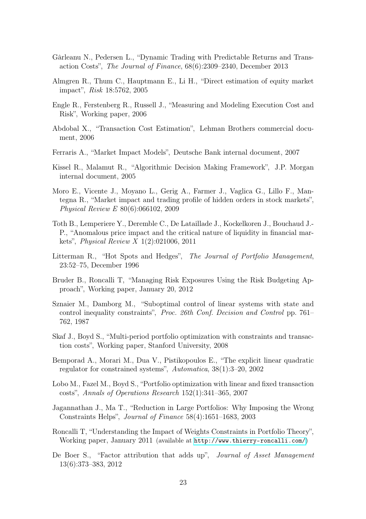- <span id="page-22-0"></span>Gârleanu N., Pedersen L., "Dynamic Trading with Predictable Returns and Transaction Costs", *The Journal of Finance*, 68(6):2309–2340, December 2013
- <span id="page-22-1"></span>Almgren R., Thum C., Hauptmann E., Li H., "Direct estimation of equity market impact", *Risk* 18:5762, 2005
- <span id="page-22-2"></span>Engle R., Ferstenberg R., Russell J., "Measuring and Modeling Execution Cost and Risk", Working paper, 2006
- <span id="page-22-3"></span>Abdobal X., "Transaction Cost Estimation", Lehman Brothers commercial document, 2006
- Ferraris A., "Market Impact Models", Deutsche Bank internal document, 2007
- <span id="page-22-4"></span>Kissel R., Malamut R., "Algorithmic Decision Making Framework", J.P. Morgan internal document, 2005
- <span id="page-22-5"></span>Moro E., Vicente J., Moyano L., Gerig A., Farmer J., Vaglica G., Lillo F., Mantegna R., "Market impact and trading profile of hidden orders in stock markets", *Physical Review E* 80(6):066102, 2009
- <span id="page-22-6"></span>Toth B., Lemperiere Y., Deremble C., De Lataillade J., Kockelkoren J., Bouchaud J.- P., "Anomalous price impact and the critical nature of liquidity in financial markets", *Physical Review X* 1(2):021006, 2011
- <span id="page-22-7"></span>Litterman R., "Hot Spots and Hedges", *The Journal of Portfolio Management*, 23:52–75, December 1996
- <span id="page-22-8"></span>Bruder B., Roncalli T, "Managing Risk Exposures Using the Risk Budgeting Approach", Working paper, January 20, 2012
- <span id="page-22-9"></span>Sznaier M., Damborg M., "Suboptimal control of linear systems with state and control inequality constraints", *Proc. 26th Conf. Decision and Control* pp. 761– 762, 1987
- <span id="page-22-10"></span>Skaf J., Boyd S., "Multi-period portfolio optimization with constraints and transaction costs", Working paper, Stanford University, 2008
- <span id="page-22-11"></span>Bemporad A., Morari M., Dua V., Pistikopoulos E., "The explicit linear quadratic regulator for constrained systems", *Automatica*, 38(1):3–20, 2002
- <span id="page-22-12"></span>Lobo M., Fazel M., Boyd S., "Portfolio optimization with linear and fixed transaction costs", *Annals of Operations Research* 152(1):341–365, 2007
- <span id="page-22-13"></span>Jagannathan J., Ma T., "Reduction in Large Portfolios: Why Imposing the Wrong Constraints Helps", *Journal of Finance* 58(4):1651–1683, 2003
- <span id="page-22-14"></span>Roncalli T, "Understanding the Impact of Weights Constraints in Portfolio Theory", Working paper, January 2011 (available at <http://www.thierry-roncalli.com/>)
- <span id="page-22-15"></span>De Boer S., "Factor attribution that adds up", *Journal of Asset Management* 13(6):373–383, 2012